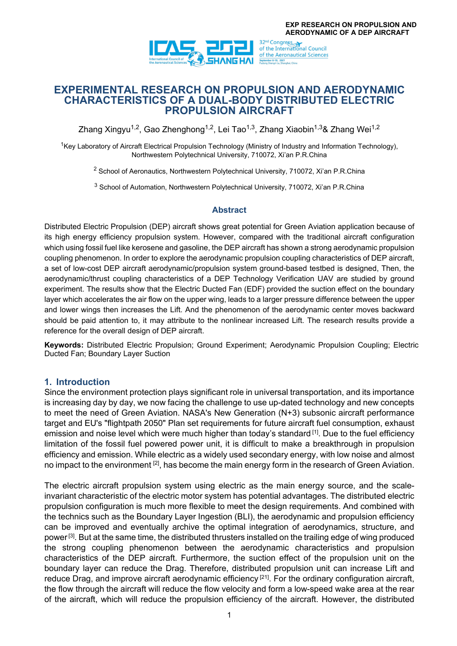

# **EXPERIMENTAL RESEARCH ON PROPULSION AND AERODYNAMIC CHARACTERISTICS OF A DUAL-BODY DISTRIBUTED ELECTRIC PROPULSION AIRCRAFT**

Zhang Xingyu<sup>1,2</sup>, Gao Zhenghong<sup>1,2</sup>, Lei Tao<sup>1,3</sup>, Zhang Xiaobin<sup>1,3</sup>& Zhang Wei<sup>1,2</sup>

<sup>1</sup>Key Laboratory of Aircraft Electrical Propulsion Technology (Ministry of Industry and Information Technology), Northwestern Polytechnical University, 710072, Xi'an P.R.China

<sup>2</sup> School of Aeronautics, Northwestern Polytechnical University, 710072, Xi'an P.R.China

<sup>3</sup> School of Automation, Northwestern Polytechnical University, 710072, Xi'an P.R.China

### **Abstract**

Distributed Electric Propulsion (DEP) aircraft shows great potential for Green Aviation application because of its high energy efficiency propulsion system. However, compared with the traditional aircraft configuration which using fossil fuel like kerosene and gasoline, the DEP aircraft has shown a strong aerodynamic propulsion coupling phenomenon. In order to explore the aerodynamic propulsion coupling characteristics of DEP aircraft, a set of low-cost DEP aircraft aerodynamic/propulsion system ground-based testbed is designed, Then, the aerodynamic/thrust coupling characteristics of a DEP Technology Verification UAV are studied by ground experiment. The results show that the Electric Ducted Fan (EDF) provided the suction effect on the boundary layer which accelerates the air flow on the upper wing, leads to a larger pressure difference between the upper and lower wings then increases the Lift. And the phenomenon of the aerodynamic center moves backward should be paid attention to, it may attribute to the nonlinear increased Lift. The research results provide a reference for the overall design of DEP aircraft.

**Keywords:** Distributed Electric Propulsion; Ground Experiment; Aerodynamic Propulsion Coupling; Electric Ducted Fan; Boundary Layer Suction

### **1. Introduction**

Since the environment protection plays significant role in universal transportation, and its importance is increasing day by day, we now facing the challenge to use up-dated technology and new concepts to meet the need of Green Aviation. NASA's New Generation (N+3) subsonic aircraft performance target and EU's "flightpath 2050" Plan set requirements for future aircraft fuel consumption, exhaust emission and noise level which were much higher than today's standard [1]. Due to the fuel efficiency limitation of the fossil fuel powered power unit, it is difficult to make a breakthrough in propulsion efficiency and emission. While electric as a widely used secondary energy, with low noise and almost no impact to the environment  $[2]$ , has become the main energy form in the research of Green Aviation.

The electric aircraft propulsion system using electric as the main energy source, and the scaleinvariant characteristic of the electric motor system has potential advantages. The distributed electric propulsion configuration is much more flexible to meet the design requirements. And combined with the technics such as the Boundary Layer Ingestion (BLI), the aerodynamic and propulsion efficiency can be improved and eventually archive the optimal integration of aerodynamics, structure, and power [3]. But at the same time, the distributed thrusters installed on the trailing edge of wing produced the strong coupling phenomenon between the aerodynamic characteristics and propulsion characteristics of the DEP aircraft. Furthermore, the suction effect of the propulsion unit on the boundary layer can reduce the Drag. Therefore, distributed propulsion unit can increase Lift and reduce Drag, and improve aircraft aerodynamic efficiency  $[21]$ . For the ordinary configuration aircraft, the flow through the aircraft will reduce the flow velocity and form a low-speed wake area at the rear of the aircraft, which will reduce the propulsion efficiency of the aircraft. However, the distributed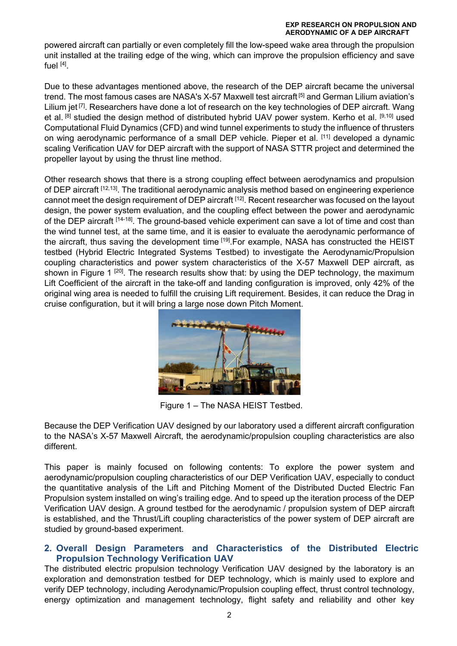powered aircraft can partially or even completely fill the low-speed wake area through the propulsion unit installed at the trailing edge of the wing, which can improve the propulsion efficiency and save fuel  $[4]$ 

Due to these advantages mentioned above, the research of the DEP aircraft became the universal trend. The most famous cases are NASA's X-57 Maxwell test aircraft<sup>[5]</sup> and German Lilium aviation's Lilium jet <sup>[7]</sup>. Researchers have done a lot of research on the key technologies of DEP aircraft. Wang et al. [8] studied the design method of distributed hybrid UAV power system. Kerho et al. [9,10] used Computational Fluid Dynamics (CFD) and wind tunnel experiments to study the influence of thrusters on wing aerodynamic performance of a small DEP vehicle. Pieper et al. [11] developed a dynamic scaling Verification UAV for DEP aircraft with the support of NASA STTR project and determined the propeller layout by using the thrust line method.

Other research shows that there is a strong coupling effect between aerodynamics and propulsion of DEP aircraft [12,13]. The traditional aerodynamic analysis method based on engineering experience cannot meet the design requirement of DEP aircraft [12]. Recent researcher was focused on the layout design, the power system evaluation, and the coupling effect between the power and aerodynamic of the DEP aircraft [14-18]. The ground-based vehicle experiment can save a lot of time and cost than the wind tunnel test, at the same time, and it is easier to evaluate the aerodynamic performance of the aircraft, thus saving the development time [19]. For example, NASA has constructed the HEIST testbed (Hybrid Electric Integrated Systems Testbed) to investigate the Aerodynamic/Propulsion coupling characteristics and power system characteristics of the X-57 Maxwell DEP aircraft, as shown in Figure 1  $[20]$ . The research results show that: by using the DEP technology, the maximum Lift Coefficient of the aircraft in the take-off and landing configuration is improved, only 42% of the original wing area is needed to fulfill the cruising Lift requirement. Besides, it can reduce the Drag in cruise configuration, but it will bring a large nose down Pitch Moment.



Figure 1 – The NASA HEIST Testbed.

Because the DEP Verification UAV designed by our laboratory used a different aircraft configuration to the NASA's X-57 Maxwell Aircraft, the aerodynamic/propulsion coupling characteristics are also different.

This paper is mainly focused on following contents: To explore the power system and aerodynamic/propulsion coupling characteristics of our DEP Verification UAV, especially to conduct the quantitative analysis of the Lift and Pitching Moment of the Distributed Ducted Electric Fan Propulsion system installed on wing's trailing edge. And to speed up the iteration process of the DEP Verification UAV design. A ground testbed for the aerodynamic / propulsion system of DEP aircraft is established, and the Thrust/Lift coupling characteristics of the power system of DEP aircraft are studied by ground-based experiment.

## **2. Overall Design Parameters and Characteristics of the Distributed Electric Propulsion Technology Verification UAV**

The distributed electric propulsion technology Verification UAV designed by the laboratory is an exploration and demonstration testbed for DEP technology, which is mainly used to explore and verify DEP technology, including Aerodynamic/Propulsion coupling effect, thrust control technology, energy optimization and management technology, flight safety and reliability and other key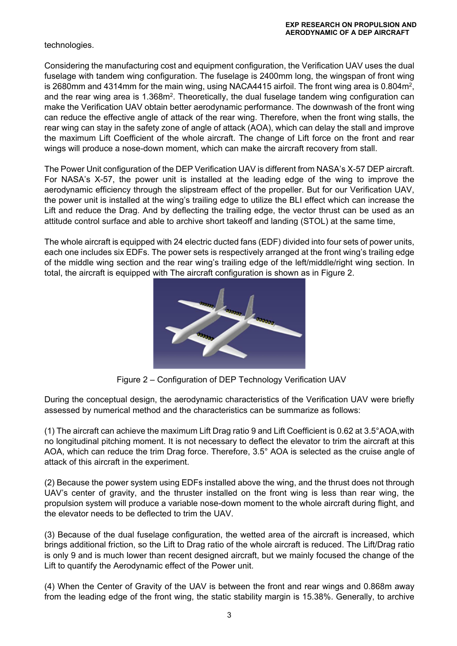technologies.

Considering the manufacturing cost and equipment configuration, the Verification UAV uses the dual fuselage with tandem wing configuration. The fuselage is 2400mm long, the wingspan of front wing is 2680mm and 4314mm for the main wing, using NACA4415 airfoil. The front wing area is 0.804m<sup>2</sup>, and the rear wing area is 1.368m<sup>2</sup>. Theoretically, the dual fuselage tandem wing configuration can make the Verification UAV obtain better aerodynamic performance. The downwash of the front wing can reduce the effective angle of attack of the rear wing. Therefore, when the front wing stalls, the rear wing can stay in the safety zone of angle of attack (AOA), which can delay the stall and improve the maximum Lift Coefficient of the whole aircraft. The change of Lift force on the front and rear wings will produce a nose-down moment, which can make the aircraft recovery from stall.

The Power Unit configuration of the DEP Verification UAV is different from NASA's X-57 DEP aircraft. For NASA's X-57, the power unit is installed at the leading edge of the wing to improve the aerodynamic efficiency through the slipstream effect of the propeller. But for our Verification UAV, the power unit is installed at the wing's trailing edge to utilize the BLI effect which can increase the Lift and reduce the Drag. And by deflecting the trailing edge, the vector thrust can be used as an attitude control surface and able to archive short takeoff and landing (STOL) at the same time,

The whole aircraft is equipped with 24 electric ducted fans (EDF) divided into four sets of power units, each one includes six EDFs. The power sets is respectively arranged at the front wing's trailing edge of the middle wing section and the rear wing's trailing edge of the left/middle/right wing section. In total, the aircraft is equipped with The aircraft configuration is shown as in Figure 2.



Figure 2 – Configuration of DEP Technology Verification UAV

During the conceptual design, the aerodynamic characteristics of the Verification UAV were briefly assessed by numerical method and the characteristics can be summarize as follows:

(1) The aircraft can achieve the maximum Lift Drag ratio 9 and Lift Coefficient is 0.62 at 3.5°AOA,with no longitudinal pitching moment. It is not necessary to deflect the elevator to trim the aircraft at this AOA, which can reduce the trim Drag force. Therefore, 3.5° AOA is selected as the cruise angle of attack of this aircraft in the experiment.

(2) Because the power system using EDFs installed above the wing, and the thrust does not through UAV's center of gravity, and the thruster installed on the front wing is less than rear wing, the propulsion system will produce a variable nose-down moment to the whole aircraft during flight, and the elevator needs to be deflected to trim the UAV.

(3) Because of the dual fuselage configuration, the wetted area of the aircraft is increased, which brings additional friction, so the Lift to Drag ratio of the whole aircraft is reduced. The Lift/Drag ratio is only 9 and is much lower than recent designed aircraft, but we mainly focused the change of the Lift to quantify the Aerodynamic effect of the Power unit.

(4) When the Center of Gravity of the UAV is between the front and rear wings and 0.868m away from the leading edge of the front wing, the static stability margin is 15.38%. Generally, to archive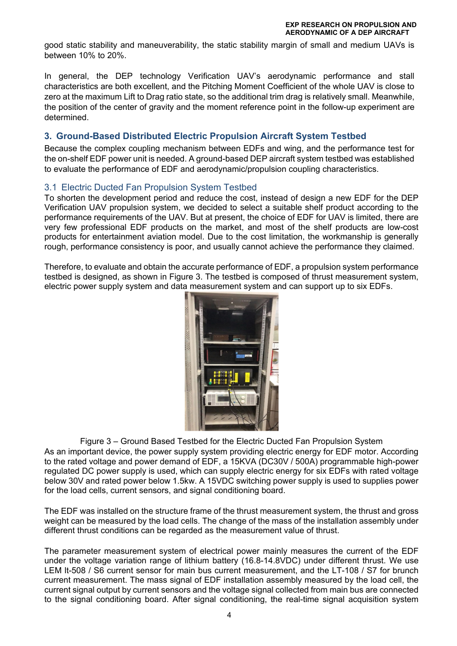good static stability and maneuverability, the static stability margin of small and medium UAVs is between 10% to 20%.

In general, the DEP technology Verification UAV's aerodynamic performance and stall characteristics are both excellent, and the Pitching Moment Coefficient of the whole UAV is close to zero at the maximum Lift to Drag ratio state, so the additional trim drag is relatively small. Meanwhile, the position of the center of gravity and the moment reference point in the follow-up experiment are determined.

# **3. Ground-Based Distributed Electric Propulsion Aircraft System Testbed**

Because the complex coupling mechanism between EDFs and wing, and the performance test for the on-shelf EDF power unit is needed. A ground-based DEP aircraft system testbed was established to evaluate the performance of EDF and aerodynamic/propulsion coupling characteristics.

### 3.1 Electric Ducted Fan Propulsion System Testbed

To shorten the development period and reduce the cost, instead of design a new EDF for the DEP Verification UAV propulsion system, we decided to select a suitable shelf product according to the performance requirements of the UAV. But at present, the choice of EDF for UAV is limited, there are very few professional EDF products on the market, and most of the shelf products are low-cost products for entertainment aviation model. Due to the cost limitation, the workmanship is generally rough, performance consistency is poor, and usually cannot achieve the performance they claimed.

Therefore, to evaluate and obtain the accurate performance of EDF, a propulsion system performance testbed is designed, as shown in Figure 3. The testbed is composed of thrust measurement system, electric power supply system and data measurement system and can support up to six EDFs.



Figure 3 – Ground Based Testbed for the Electric Ducted Fan Propulsion System As an important device, the power supply system providing electric energy for EDF motor. According to the rated voltage and power demand of EDF, a 15KVA (DC30V / 500A) programmable high-power regulated DC power supply is used, which can supply electric energy for six EDFs with rated voltage below 30V and rated power below 1.5kw. A 15VDC switching power supply is used to supplies power for the load cells, current sensors, and signal conditioning board.

The EDF was installed on the structure frame of the thrust measurement system, the thrust and gross weight can be measured by the load cells. The change of the mass of the installation assembly under different thrust conditions can be regarded as the measurement value of thrust.

The parameter measurement system of electrical power mainly measures the current of the EDF under the voltage variation range of lithium battery (16.8-14.8VDC) under different thrust. We use LEM lt-508 / S6 current sensor for main bus current measurement, and the LT-108 / S7 for brunch current measurement. The mass signal of EDF installation assembly measured by the load cell, the current signal output by current sensors and the voltage signal collected from main bus are connected to the signal conditioning board. After signal conditioning, the real-time signal acquisition system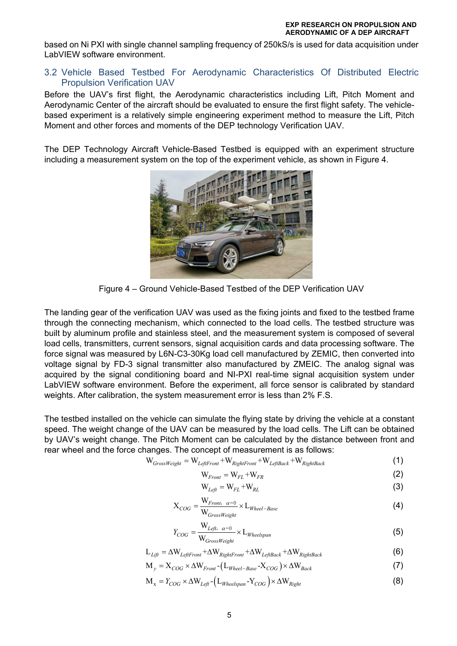based on Ni PXI with single channel sampling frequency of 250kS/s is used for data acquisition under LabVIEW software environment.

### 3.2 Vehicle Based Testbed For Aerodynamic Characteristics Of Distributed Electric Propulsion Verification UAV

Before the UAV's first flight, the Aerodynamic characteristics including Lift, Pitch Moment and Aerodynamic Center of the aircraft should be evaluated to ensure the first flight safety. The vehiclebased experiment is a relatively simple engineering experiment method to measure the Lift, Pitch Moment and other forces and moments of the DEP technology Verification UAV.

The DEP Technology Aircraft Vehicle-Based Testbed is equipped with an experiment structure including a measurement system on the top of the experiment vehicle, as shown in Figure 4.



Figure 4 – Ground Vehicle-Based Testbed of the DEP Verification UAV

The landing gear of the verification UAV was used as the fixing joints and fixed to the testbed frame through the connecting mechanism, which connected to the load cells. The testbed structure was built by aluminum profile and stainless steel, and the measurement system is composed of several load cells, transmitters, current sensors, signal acquisition cards and data processing software. The force signal was measured by L6N-C3-30Kg load cell manufactured by ZEMIC, then converted into voltage signal by FD-3 signal transmitter also manufactured by ZMEIC. The analog signal was acquired by the signal conditioning board and NI-PXI real-time signal acquisition system under LabVIEW software environment. Before the experiment, all force sensor is calibrated by standard weights. After calibration, the system measurement error is less than 2% F.S.

The testbed installed on the vehicle can simulate the flying state by driving the vehicle at a constant speed. The weight change of the UAV can be measured by the load cells. The Lift can be obtained by UAV's weight change. The Pitch Moment can be calculated by the distance between front and rear wheel and the force changes. The concept of measurement is as follows:

$$
W_{GrossWeight} = W_{LeftFront} + W_{RightFront} + W_{LeftBack} + W_{RightBack}
$$
\n(1)

$$
W_{Front} = W_{FL} + W_{FR}
$$
 (2)

$$
W_{Left} = W_{FL} + W_{RL}
$$
 (3)

$$
X_{COG} = \frac{W_{Front, \ \alpha=0}}{W_{GrossWeight}} \times L_{Wheel-Base}
$$
 (4)

$$
Y_{COG} = \frac{W_{Left, \alpha=0}}{W_{GrossWeight}} \times L_{Wheelspan}
$$
\n(5)

$$
L_{Lift} = \Delta W_{LeftFront} + \Delta W_{RightFront} + \Delta W_{LeftBack} + \Delta W_{RightBack}
$$
 (6)

$$
M_y = X_{COG} \times \Delta W_{Front} - (L_{Wheel-Base} - X_{COG}) \times \Delta W_{Back}
$$
 (7)

$$
M_x = Y_{COG} \times \Delta W_{Left} - (L_{Wheelspan} - Y_{COG}) \times \Delta W_{Right}
$$
 (8)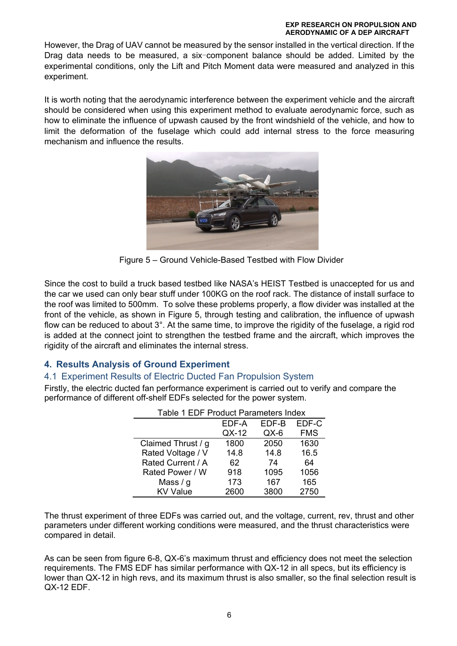However, the Drag of UAV cannot be measured by the sensor installed in the vertical direction. If the Drag data needs to be measured, a six-component balance should be added. Limited by the experimental conditions, only the Lift and Pitch Moment data were measured and analyzed in this experiment.

It is worth noting that the aerodynamic interference between the experiment vehicle and the aircraft should be considered when using this experiment method to evaluate aerodynamic force, such as how to eliminate the influence of upwash caused by the front windshield of the vehicle, and how to limit the deformation of the fuselage which could add internal stress to the force measuring mechanism and influence the results.



Figure 5 – Ground Vehicle-Based Testbed with Flow Divider

Since the cost to build a truck based testbed like NASA's HEIST Testbed is unaccepted for us and the car we used can only bear stuff under 100KG on the roof rack. The distance of install surface to the roof was limited to 500mm. To solve these problems properly, a flow divider was installed at the front of the vehicle, as shown in Figure 5, through testing and calibration, the influence of upwash flow can be reduced to about  $3^\circ$ . At the same time, to improve the rigidity of the fuselage, a rigid rod is added at the connect joint to strengthen the testbed frame and the aircraft, which improves the rigidity of the aircraft and eliminates the internal stress.

# **4. Results Analysis of Ground Experiment**

## 4.1 Experiment Results of Electric Ducted Fan Propulsion System

Firstly, the electric ducted fan performance experiment is carried out to verify and compare the performance of different off-shelf EDFs selected for the power system.

| Table 1 EDF Product Parameters Index |       |       |            |
|--------------------------------------|-------|-------|------------|
|                                      | EDF-A | EDF-B | EDF-C      |
|                                      | QX-12 | QX-6  | <b>FMS</b> |
| Claimed Thrust / g                   | 1800  | 2050  | 1630       |
| Rated Voltage / V                    | 14.8  | 14.8  | 16.5       |
| Rated Current / A                    | 62    | 74    | 64         |
| Rated Power / W                      | 918   | 1095  | 1056       |
| Mass $/g$                            | 173   | 167   | 165        |
| <b>KV Value</b>                      | 2600  | 3800  | 2750       |

The thrust experiment of three EDFs was carried out, and the voltage, current, rev, thrust and other parameters under different working conditions were measured, and the thrust characteristics were compared in detail.

As can be seen from figure 6-8, QX-6's maximum thrust and efficiency does not meet the selection requirements. The FMS EDF has similar performance with QX-12 in all specs, but its efficiency is lower than QX-12 in high revs, and its maximum thrust is also smaller, so the final selection result is QX-12 EDF.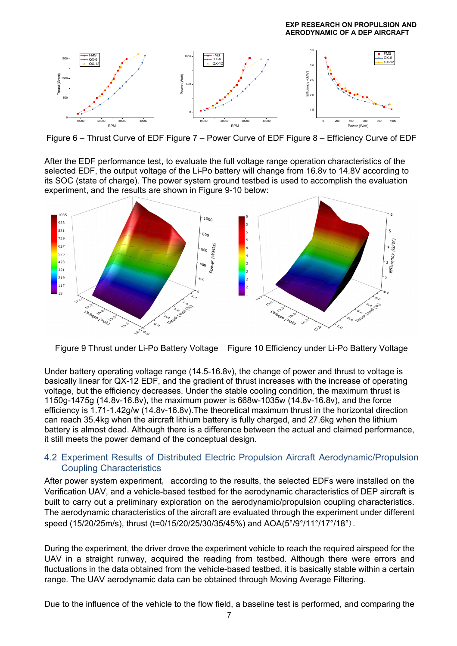

Figure 6 – Thrust Curve of EDF Figure 7 – Power Curve of EDF Figure 8 – Efficiency Curve of EDF

After the EDF performance test, to evaluate the full voltage range operation characteristics of the selected EDF, the output voltage of the Li-Po battery will change from 16.8v to 14.8V according to its SOC (state of charge). The power system ground testbed is used to accomplish the evaluation experiment, and the results are shown in Figure 9-10 below:



Figure 9 Thrust under Li-Po Battery Voltage Figure 10 Efficiency under Li-Po Battery Voltage

Under battery operating voltage range (14.5-16.8v), the change of power and thrust to voltage is basically linear for QX-12 EDF, and the gradient of thrust increases with the increase of operating voltage, but the efficiency decreases. Under the stable cooling condition, the maximum thrust is 1150g-1475g (14.8v-16.8v), the maximum power is 668w-1035w (14.8v-16.8v), and the force efficiency is 1.71-1.42g/w (14.8v-16.8v).The theoretical maximum thrust in the horizontal direction can reach 35.4kg when the aircraft lithium battery is fully charged, and 27.6kg when the lithium battery is almost dead. Although there is a difference between the actual and claimed performance, it still meets the power demand of the conceptual design.

### 4.2 Experiment Results of Distributed Electric Propulsion Aircraft Aerodynamic/Propulsion Coupling Characteristics

After power system experiment, according to the results, the selected EDFs were installed on the Verification UAV, and a vehicle-based testbed for the aerodynamic characteristics of DEP aircraft is built to carry out a preliminary exploration on the aerodynamic/propulsion coupling characteristics. The aerodynamic characteristics of the aircraft are evaluated through the experiment under different speed (15/20/25m/s), thrust (t=0/15/20/25/30/35/45%) and AOA(5°/9°/11°/17°/18°).

During the experiment, the driver drove the experiment vehicle to reach the required airspeed for the UAV in a straight runway, acquired the reading from testbed. Although there were errors and fluctuations in the data obtained from the vehicle-based testbed, it is basically stable within a certain range. The UAV aerodynamic data can be obtained through Moving Average Filtering.

Due to the influence of the vehicle to the flow field, a baseline test is performed, and comparing the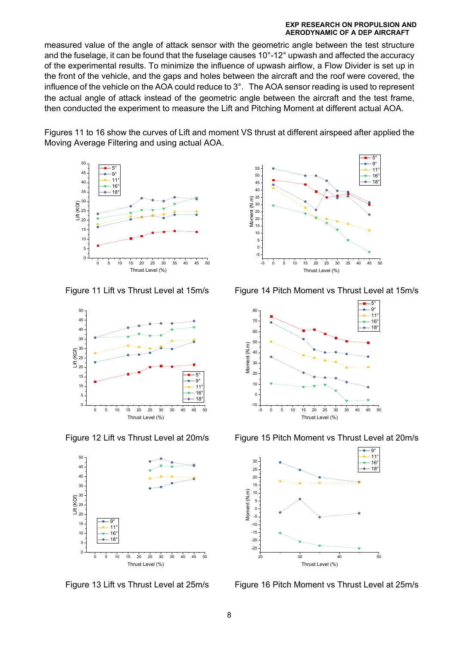measured value of the angle of attack sensor with the geometric angle between the test structure and the fuselage, it can be found that the fuselage causes 10°-12° upwash and affected the accuracy of the experimental results. To minimize the influence of upwash airflow, a Flow Divider is set up in the front of the vehicle, and the gaps and holes between the aircraft and the roof were covered, the influence of the vehicle on the AOA could reduce to 3°. The AOA sensor reading is used to represent the actual angle of attack instead of the geometric angle between the aircraft and the test frame, then conducted the experiment to measure the Lift and Pitching Moment at different actual AOA.

Figures 11 to 16 show the curves of Lift and moment VS thrust at different airspeed after applied the Moving Average Filtering and using actual AOA.









Figure 11 Lift vs Thrust Level at 15m/s<br>Figure 14 Pitch Moment vs Thrust Level at 15m/s



Figure 12 Lift vs Thrust Level at 20m/s Figure 15 Pitch Moment vs Thrust Level at 20m/s



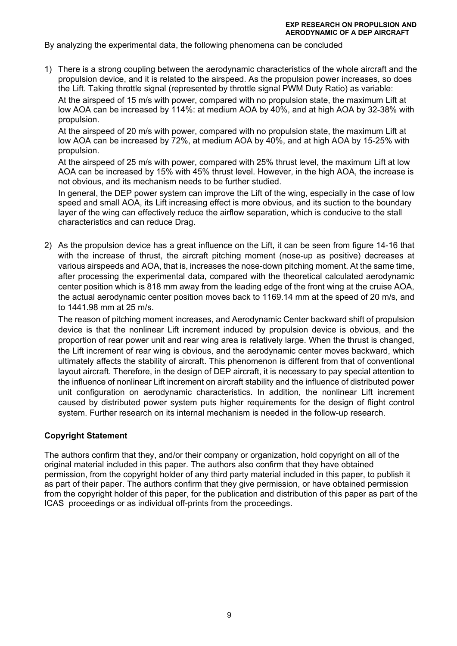By analyzing the experimental data, the following phenomena can be concluded

1) There is a strong coupling between the aerodynamic characteristics of the whole aircraft and the propulsion device, and it is related to the airspeed. As the propulsion power increases, so does the Lift. Taking throttle signal (represented by throttle signal PWM Duty Ratio) as variable: At the airspeed of 15 m/s with power, compared with no propulsion state, the maximum Lift at low AOA can be increased by 114%: at medium AOA by 40%, and at high AOA by 32-38% with propulsion.

At the airspeed of 20 m/s with power, compared with no propulsion state, the maximum Lift at low AOA can be increased by 72%, at medium AOA by 40%, and at high AOA by 15-25% with propulsion.

At the airspeed of 25 m/s with power, compared with 25% thrust level, the maximum Lift at low AOA can be increased by 15% with 45% thrust level. However, in the high AOA, the increase is not obvious, and its mechanism needs to be further studied.

In general, the DEP power system can improve the Lift of the wing, especially in the case of low speed and small AOA, its Lift increasing effect is more obvious, and its suction to the boundary layer of the wing can effectively reduce the airflow separation, which is conducive to the stall characteristics and can reduce Drag.

2) As the propulsion device has a great influence on the Lift, it can be seen from figure 14-16 that with the increase of thrust, the aircraft pitching moment (nose-up as positive) decreases at various airspeeds and AOA, that is, increases the nose-down pitching moment. At the same time, after processing the experimental data, compared with the theoretical calculated aerodynamic center position which is 818 mm away from the leading edge of the front wing at the cruise AOA, the actual aerodynamic center position moves back to 1169.14 mm at the speed of 20 m/s, and to 1441.98 mm at 25 m/s.

The reason of pitching moment increases, and Aerodynamic Center backward shift of propulsion device is that the nonlinear Lift increment induced by propulsion device is obvious, and the proportion of rear power unit and rear wing area is relatively large. When the thrust is changed, the Lift increment of rear wing is obvious, and the aerodynamic center moves backward, which ultimately affects the stability of aircraft. This phenomenon is different from that of conventional layout aircraft. Therefore, in the design of DEP aircraft, it is necessary to pay special attention to the influence of nonlinear Lift increment on aircraft stability and the influence of distributed power unit configuration on aerodynamic characteristics. In addition, the nonlinear Lift increment caused by distributed power system puts higher requirements for the design of flight control system. Further research on its internal mechanism is needed in the follow-up research.

### **Copyright Statement**

The authors confirm that they, and/or their company or organization, hold copyright on all of the original material included in this paper. The authors also confirm that they have obtained permission, from the copyright holder of any third party material included in this paper, to publish it as part of their paper. The authors confirm that they give permission, or have obtained permission from the copyright holder of this paper, for the publication and distribution of this paper as part of the ICAS proceedings or as individual off-prints from the proceedings.